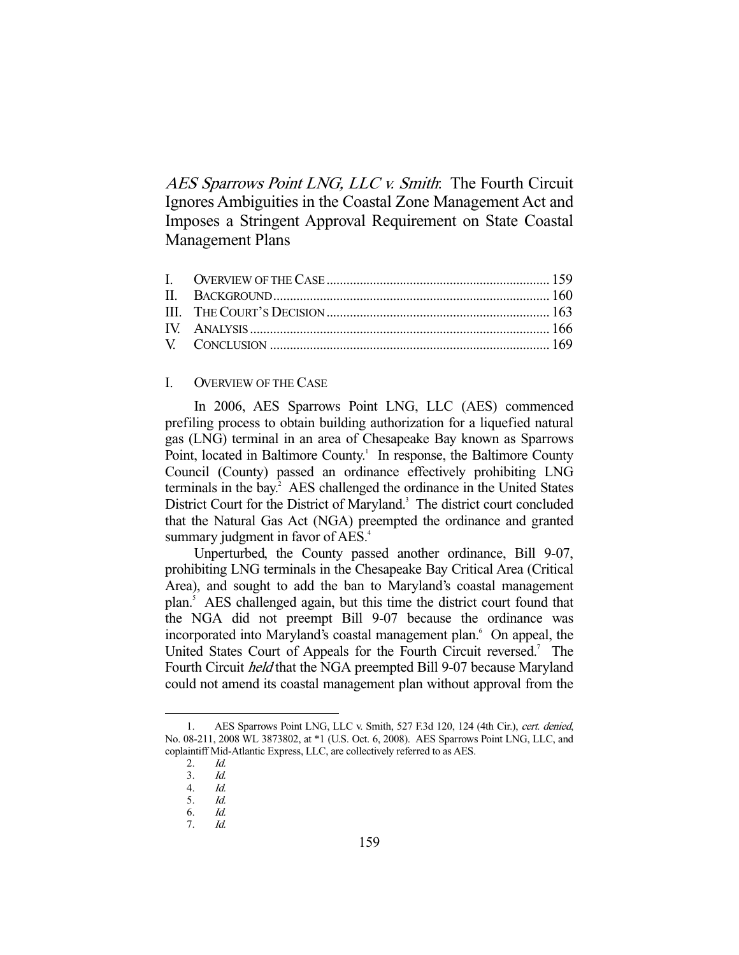AES Sparrows Point LNG, LLC v. Smith: The Fourth Circuit Ignores Ambiguities in the Coastal Zone Management Act and Imposes a Stringent Approval Requirement on State Coastal Management Plans

# I. OVERVIEW OF THE CASE

 In 2006, AES Sparrows Point LNG, LLC (AES) commenced prefiling process to obtain building authorization for a liquefied natural gas (LNG) terminal in an area of Chesapeake Bay known as Sparrows Point, located in Baltimore County.<sup>1</sup> In response, the Baltimore County Council (County) passed an ordinance effectively prohibiting LNG terminals in the bay.<sup>2</sup> AES challenged the ordinance in the United States District Court for the District of Maryland.<sup>3</sup> The district court concluded that the Natural Gas Act (NGA) preempted the ordinance and granted summary judgment in favor of AES.<sup>4</sup>

 Unperturbed, the County passed another ordinance, Bill 9-07, prohibiting LNG terminals in the Chesapeake Bay Critical Area (Critical Area), and sought to add the ban to Maryland's coastal management plan.<sup>5</sup> AES challenged again, but this time the district court found that the NGA did not preempt Bill 9-07 because the ordinance was incorporated into Maryland's coastal management plan.<sup>6</sup> On appeal, the United States Court of Appeals for the Fourth Circuit reversed.<sup>7</sup> The Fourth Circuit held that the NGA preempted Bill 9-07 because Maryland could not amend its coastal management plan without approval from the

 <sup>1.</sup> AES Sparrows Point LNG, LLC v. Smith, 527 F.3d 120, 124 (4th Cir.), cert. denied, No. 08-211, 2008 WL 3873802, at \*1 (U.S. Oct. 6, 2008). AES Sparrows Point LNG, LLC, and coplaintiff Mid-Atlantic Express, LLC, are collectively referred to as AES.

 <sup>2.</sup> Id.

<sup>3.</sup> *Id.*<br>4. *Id.*  $Id$ 

 <sup>5.</sup> Id. 6. Id.

 <sup>7.</sup> Id.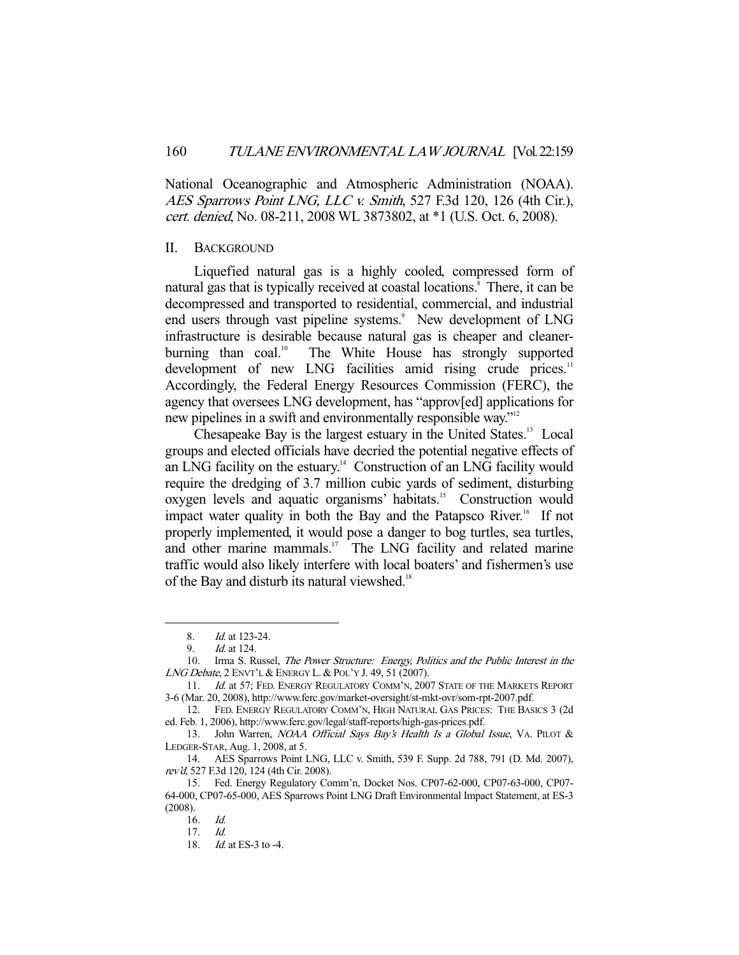National Oceanographic and Atmospheric Administration (NOAA). AES Sparrows Point LNG, LLC v. Smith, 527 F.3d 120, 126 (4th Cir.), cert. denied, No. 08-211, 2008 WL 3873802, at \*1 (U.S. Oct. 6, 2008).

### II. BACKGROUND

 Liquefied natural gas is a highly cooled, compressed form of natural gas that is typically received at coastal locations.<sup>8</sup> There, it can be decompressed and transported to residential, commercial, and industrial end users through vast pipeline systems.<sup>9</sup> New development of LNG infrastructure is desirable because natural gas is cheaper and cleanerburning than coal.<sup>10</sup> The White House has strongly supported development of new LNG facilities amid rising crude prices.<sup>11</sup> Accordingly, the Federal Energy Resources Commission (FERC), the agency that oversees LNG development, has "approv[ed] applications for new pipelines in a swift and environmentally responsible way."12

Chesapeake Bay is the largest estuary in the United States.<sup>13</sup> Local groups and elected officials have decried the potential negative effects of an LNG facility on the estuary.<sup>14</sup> Construction of an LNG facility would require the dredging of 3.7 million cubic yards of sediment, disturbing oxygen levels and aquatic organisms' habitats.<sup>15</sup> Construction would impact water quality in both the Bay and the Patapsco River.<sup>16</sup> If not properly implemented, it would pose a danger to bog turtles, sea turtles, and other marine mammals.<sup>17</sup> The LNG facility and related marine traffic would also likely interfere with local boaters' and fishermen's use of the Bay and disturb its natural viewshed.<sup>18</sup>

 <sup>8.</sup> Id. at 123-24.

 <sup>9.</sup> Id. at 124.

 <sup>10.</sup> Irma S. Russel, The Power Structure: Energy, Politics and the Public Interest in the LNG Debate, 2 ENVT'L & ENERGY L. & POL'Y J. 49, 51 (2007).

<sup>11.</sup> Id. at 57; FED. ENERGY REGULATORY COMM'N, 2007 STATE OF THE MARKETS REPORT 3-6 (Mar. 20, 2008), http://www.ferc.gov/market-oversight/st-mkt-ovr/som-rpt-2007.pdf.

 <sup>12.</sup> FED. ENERGY REGULATORY COMM'N, HIGH NATURAL GAS PRICES: THE BASICS 3 (2d ed. Feb. 1, 2006), http://www.ferc.gov/legal/staff-reports/high-gas-prices.pdf.

<sup>13.</sup> John Warren, NOAA Official Says Bay's Health Is a Global Issue, VA. PILOT & LEDGER-STAR, Aug. 1, 2008, at 5.

 <sup>14.</sup> AES Sparrows Point LNG, LLC v. Smith, 539 F. Supp. 2d 788, 791 (D. Md. 2007), rev'd, 527 F.3d 120, 124 (4th Cir. 2008).

 <sup>15.</sup> Fed. Energy Regulatory Comm'n, Docket Nos. CP07-62-000, CP07-63-000, CP07- 64-000, CP07-65-000, AES Sparrows Point LNG Draft Environmental Impact Statement, at ES-3 (2008).

 <sup>16.</sup> Id.

 <sup>17.</sup> Id.

<sup>18.</sup> *Id.* at ES-3 to -4.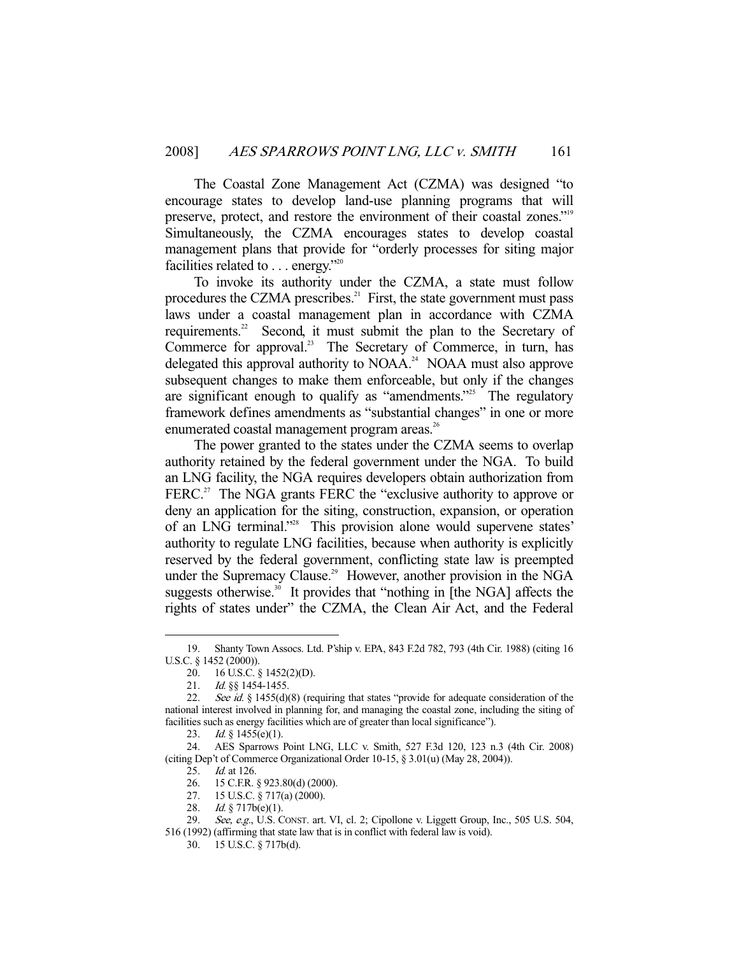The Coastal Zone Management Act (CZMA) was designed "to encourage states to develop land-use planning programs that will preserve, protect, and restore the environment of their coastal zones."<sup>19</sup> Simultaneously, the CZMA encourages states to develop coastal management plans that provide for "orderly processes for siting major facilities related to . . . energy."20

 To invoke its authority under the CZMA, a state must follow procedures the CZMA prescribes. $^{21}$  First, the state government must pass laws under a coastal management plan in accordance with CZMA requirements.<sup>22</sup> Second, it must submit the plan to the Secretary of Commerce for approval.<sup>23</sup> The Secretary of Commerce, in turn, has delegated this approval authority to NOAA.<sup>24</sup> NOAA must also approve subsequent changes to make them enforceable, but only if the changes are significant enough to qualify as "amendments."<sup>25</sup> The regulatory framework defines amendments as "substantial changes" in one or more enumerated coastal management program areas.<sup>26</sup>

 The power granted to the states under the CZMA seems to overlap authority retained by the federal government under the NGA. To build an LNG facility, the NGA requires developers obtain authorization from FERC.<sup>27</sup> The NGA grants FERC the "exclusive authority to approve or deny an application for the siting, construction, expansion, or operation of an LNG terminal."28 This provision alone would supervene states' authority to regulate LNG facilities, because when authority is explicitly reserved by the federal government, conflicting state law is preempted under the Supremacy Clause.<sup>29</sup> However, another provision in the NGA suggests otherwise. $30$  It provides that "nothing in [the NGA] affects the rights of states under" the CZMA, the Clean Air Act, and the Federal

-

28. Id.  $\frac{1}{9}$  717b(e)(1).

 <sup>19.</sup> Shanty Town Assocs. Ltd. P'ship v. EPA, 843 F.2d 782, 793 (4th Cir. 1988) (citing 16 U.S.C. § 1452 (2000)).

 <sup>20. 16</sup> U.S.C. § 1452(2)(D).

<sup>21.</sup> *Id.* §§ 1454-1455.

<sup>22.</sup> See id. § 1455(d)(8) (requiring that states "provide for adequate consideration of the national interest involved in planning for, and managing the coastal zone, including the siting of facilities such as energy facilities which are of greater than local significance").

<sup>23.</sup> *Id.* § 1455(e)(1).

 <sup>24.</sup> AES Sparrows Point LNG, LLC v. Smith, 527 F.3d 120, 123 n.3 (4th Cir. 2008) (citing Dep't of Commerce Organizational Order 10-15, § 3.01(u) (May 28, 2004)).

<sup>25.</sup> *Id.* at 126.<br>26. 15 C.F.R. § 923.80(d) (2000). 26. 15 C.F.R. § 923.80(d) (2000).

 <sup>27. 15</sup> U.S.C. § 717(a) (2000).

<sup>29.</sup> See, e.g., U.S. CONST. art. VI, cl. 2; Cipollone v. Liggett Group, Inc., 505 U.S. 504, 516 (1992) (affirming that state law that is in conflict with federal law is void).

 <sup>30. 15</sup> U.S.C. § 717b(d).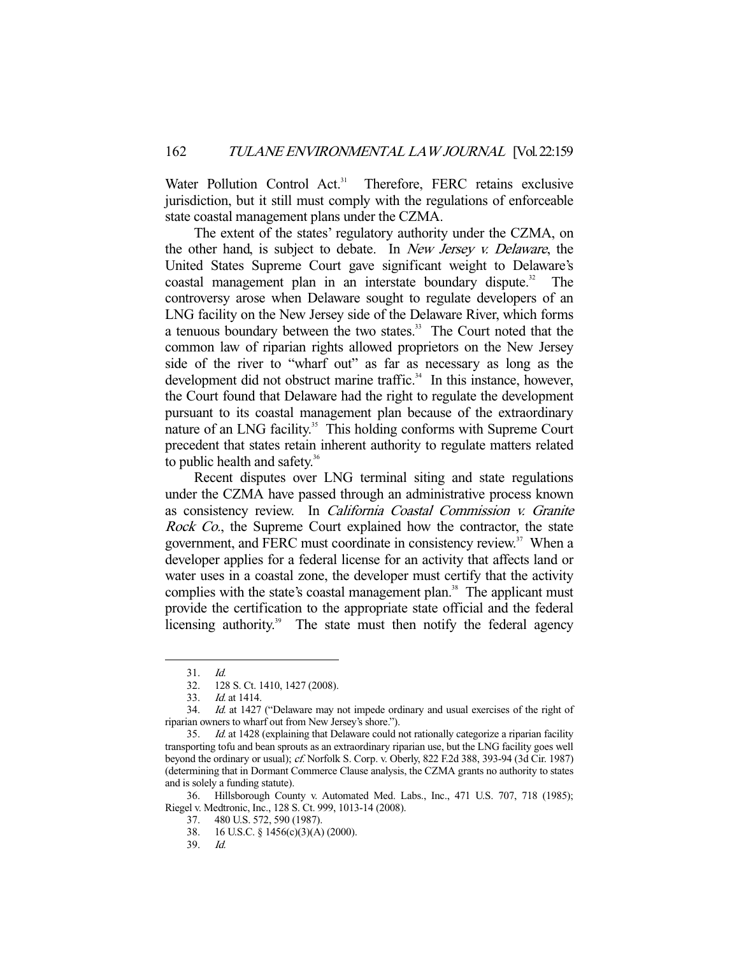Water Pollution Control Act.<sup>31</sup> Therefore, FERC retains exclusive jurisdiction, but it still must comply with the regulations of enforceable state coastal management plans under the CZMA.

 The extent of the states' regulatory authority under the CZMA, on the other hand, is subject to debate. In New Jersey v. Delaware, the United States Supreme Court gave significant weight to Delaware's coastal management plan in an interstate boundary dispute.<sup>32</sup> The controversy arose when Delaware sought to regulate developers of an LNG facility on the New Jersey side of the Delaware River, which forms a tenuous boundary between the two states.<sup>33</sup> The Court noted that the common law of riparian rights allowed proprietors on the New Jersey side of the river to "wharf out" as far as necessary as long as the development did not obstruct marine traffic. $34$  In this instance, however, the Court found that Delaware had the right to regulate the development pursuant to its coastal management plan because of the extraordinary nature of an LNG facility.<sup>35</sup> This holding conforms with Supreme Court precedent that states retain inherent authority to regulate matters related to public health and safety.<sup>36</sup>

 Recent disputes over LNG terminal siting and state regulations under the CZMA have passed through an administrative process known as consistency review. In California Coastal Commission v. Granite Rock Co., the Supreme Court explained how the contractor, the state government, and FERC must coordinate in consistency review.<sup>37</sup> When a developer applies for a federal license for an activity that affects land or water uses in a coastal zone, the developer must certify that the activity complies with the state's coastal management plan.<sup>38</sup> The applicant must provide the certification to the appropriate state official and the federal licensing authority.<sup>39</sup> The state must then notify the federal agency

 <sup>31.</sup> Id.

 <sup>32. 128</sup> S. Ct. 1410, 1427 (2008).

 <sup>33.</sup> Id. at 1414.

 <sup>34.</sup> Id. at 1427 ("Delaware may not impede ordinary and usual exercises of the right of riparian owners to wharf out from New Jersey's shore.").

<sup>35.</sup> Id. at 1428 (explaining that Delaware could not rationally categorize a riparian facility transporting tofu and bean sprouts as an extraordinary riparian use, but the LNG facility goes well beyond the ordinary or usual); cf. Norfolk S. Corp. v. Oberly, 822 F.2d 388, 393-94 (3d Cir. 1987) (determining that in Dormant Commerce Clause analysis, the CZMA grants no authority to states and is solely a funding statute).

 <sup>36.</sup> Hillsborough County v. Automated Med. Labs., Inc., 471 U.S. 707, 718 (1985); Riegel v. Medtronic, Inc., 128 S. Ct. 999, 1013-14 (2008).

 <sup>37. 480</sup> U.S. 572, 590 (1987).

 <sup>38. 16</sup> U.S.C. § 1456(c)(3)(A) (2000).

 <sup>39.</sup> Id.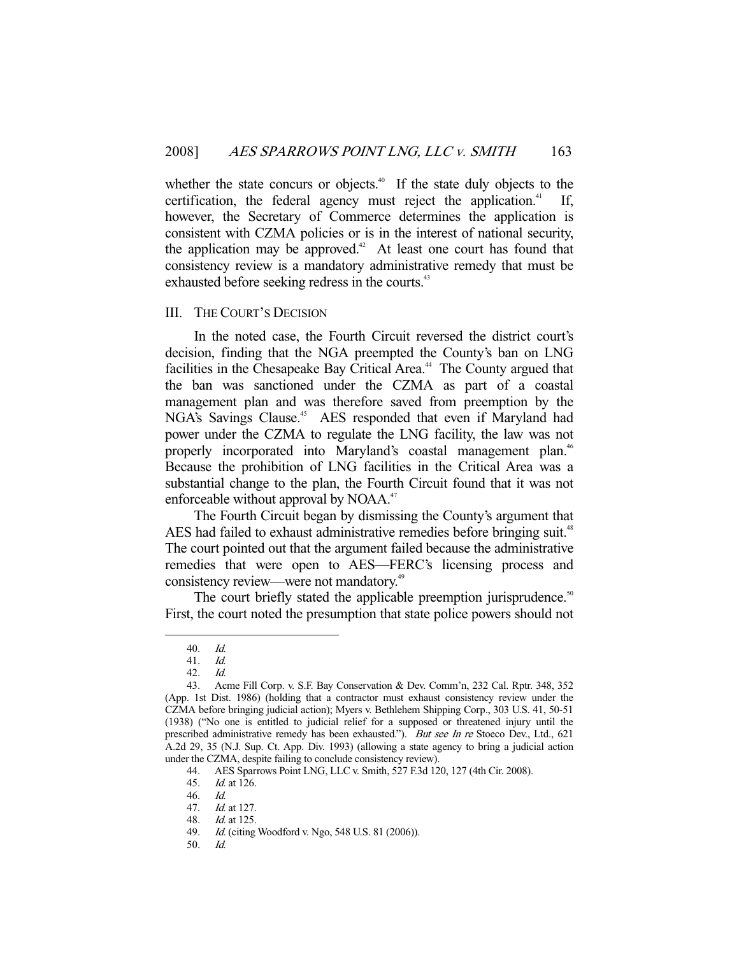whether the state concurs or objects.<sup>40</sup> If the state duly objects to the certification, the federal agency must reject the application. $41$ however, the Secretary of Commerce determines the application is consistent with CZMA policies or is in the interest of national security, the application may be approved.<sup>42</sup> At least one court has found that consistency review is a mandatory administrative remedy that must be exhausted before seeking redress in the courts.<sup>43</sup>

# III. THE COURT'S DECISION

 In the noted case, the Fourth Circuit reversed the district court's decision, finding that the NGA preempted the County's ban on LNG facilities in the Chesapeake Bay Critical Area.<sup>44</sup> The County argued that the ban was sanctioned under the CZMA as part of a coastal management plan and was therefore saved from preemption by the NGA's Savings Clause.<sup>45</sup> AES responded that even if Maryland had power under the CZMA to regulate the LNG facility, the law was not properly incorporated into Maryland's coastal management plan.<sup>46</sup> Because the prohibition of LNG facilities in the Critical Area was a substantial change to the plan, the Fourth Circuit found that it was not enforceable without approval by NOAA.<sup>47</sup>

 The Fourth Circuit began by dismissing the County's argument that AES had failed to exhaust administrative remedies before bringing suit.<sup>48</sup> The court pointed out that the argument failed because the administrative remedies that were open to AES—FERC's licensing process and consistency review—were not mandatory.<sup>49</sup>

The court briefly stated the applicable preemption jurisprudence.<sup>50</sup> First, the court noted the presumption that state police powers should not

-

50. Id.

 <sup>40.</sup> Id.

 <sup>41.</sup> Id.

 <sup>42.</sup> Id.

 <sup>43.</sup> Acme Fill Corp. v. S.F. Bay Conservation & Dev. Comm'n, 232 Cal. Rptr. 348, 352 (App. 1st Dist. 1986) (holding that a contractor must exhaust consistency review under the CZMA before bringing judicial action); Myers v. Bethlehem Shipping Corp., 303 U.S. 41, 50-51 (1938) ("No one is entitled to judicial relief for a supposed or threatened injury until the prescribed administrative remedy has been exhausted."). But see In re Stoeco Dev., Ltd., 621 A.2d 29, 35 (N.J. Sup. Ct. App. Div. 1993) (allowing a state agency to bring a judicial action under the CZMA, despite failing to conclude consistency review).

 <sup>44.</sup> AES Sparrows Point LNG, LLC v. Smith, 527 F.3d 120, 127 (4th Cir. 2008).

 <sup>45.</sup> Id. at 126.

 <sup>46.</sup> Id.

 <sup>47.</sup> Id. at 127.

 <sup>48.</sup> Id. at 125.

 <sup>49.</sup> Id. (citing Woodford v. Ngo, 548 U.S. 81 (2006)).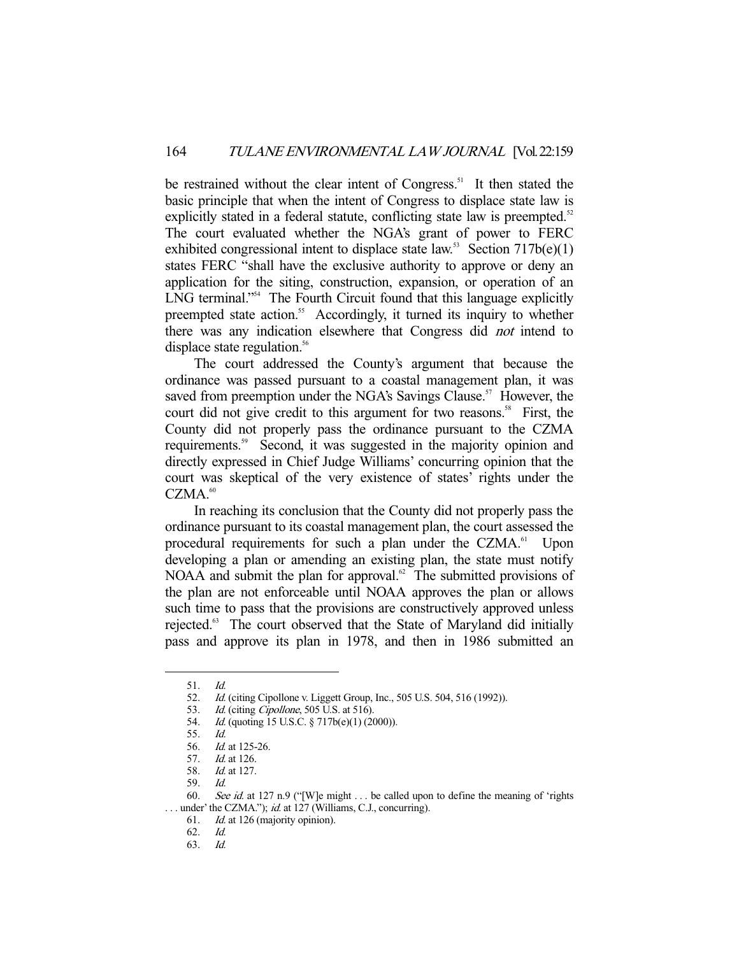be restrained without the clear intent of Congress.<sup>51</sup> It then stated the basic principle that when the intent of Congress to displace state law is explicitly stated in a federal statute, conflicting state law is preempted.<sup>52</sup> The court evaluated whether the NGA's grant of power to FERC exhibited congressional intent to displace state law.<sup>53</sup> Section  $717b(e)(1)$ states FERC "shall have the exclusive authority to approve or deny an application for the siting, construction, expansion, or operation of an LNG terminal."<sup>54</sup> The Fourth Circuit found that this language explicitly preempted state action.<sup>55</sup> Accordingly, it turned its inquiry to whether there was any indication elsewhere that Congress did not intend to displace state regulation.<sup>56</sup>

 The court addressed the County's argument that because the ordinance was passed pursuant to a coastal management plan, it was saved from preemption under the NGA's Savings Clause.<sup>57</sup> However, the court did not give credit to this argument for two reasons.<sup>58</sup> First, the County did not properly pass the ordinance pursuant to the CZMA requirements.<sup>59</sup> Second, it was suggested in the majority opinion and directly expressed in Chief Judge Williams' concurring opinion that the court was skeptical of the very existence of states' rights under the  $CZMA<sub>60</sub>$ 

 In reaching its conclusion that the County did not properly pass the ordinance pursuant to its coastal management plan, the court assessed the procedural requirements for such a plan under the CZMA.<sup>61</sup> Upon developing a plan or amending an existing plan, the state must notify  $NOAA$  and submit the plan for approval.<sup>62</sup> The submitted provisions of the plan are not enforceable until NOAA approves the plan or allows such time to pass that the provisions are constructively approved unless rejected.<sup>63</sup> The court observed that the State of Maryland did initially pass and approve its plan in 1978, and then in 1986 submitted an

 <sup>51.</sup> Id.

 <sup>52.</sup> Id. (citing Cipollone v. Liggett Group, Inc., 505 U.S. 504, 516 (1992)).

<sup>53.</sup> *Id.* (citing *Cipollone*, 505 U.S. at 516).

<sup>54.</sup> *Id.* (quoting 15 U.S.C. § 717b(e)(1) (2000)).

 <sup>55.</sup> Id.

 <sup>56.</sup> Id. at 125-26.

<sup>57.</sup> *Id.* at 126.<br>58. *Id.* at 127.

*Id.* at 127.

 <sup>59.</sup> Id.

<sup>60.</sup> See id. at 127 n.9 ("[W]e might . . . be called upon to define the meaning of 'rights ... under' the CZMA."); id. at 127 (Williams, C.J., concurring).

 <sup>61.</sup> Id. at 126 (majority opinion).

 <sup>62.</sup> Id.

 <sup>63.</sup> Id.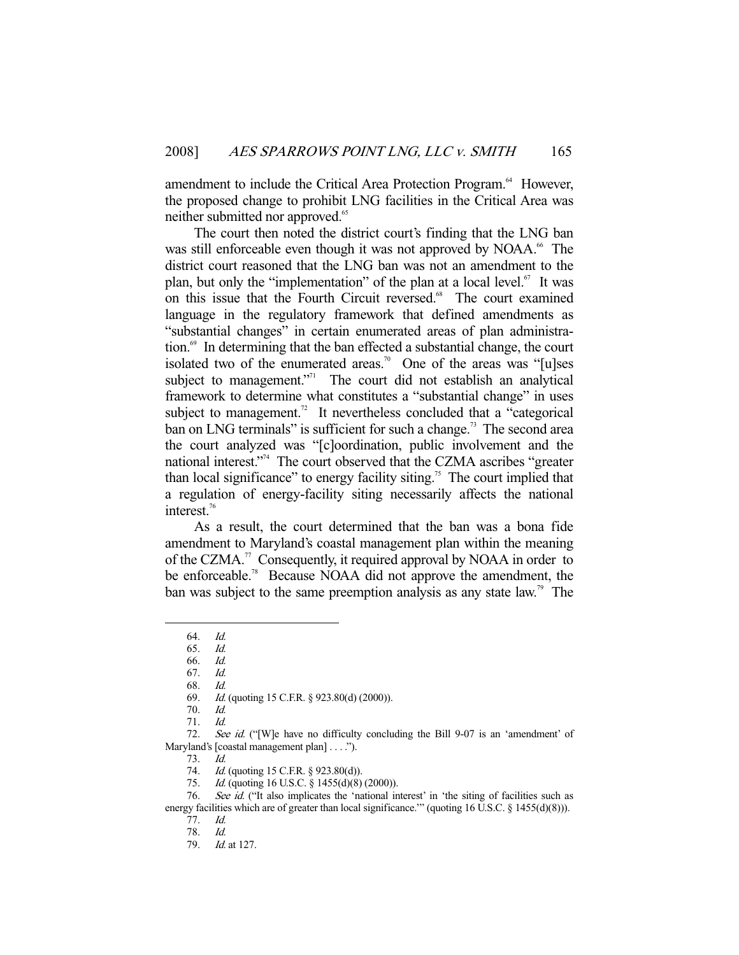amendment to include the Critical Area Protection Program.<sup>64</sup> However, the proposed change to prohibit LNG facilities in the Critical Area was neither submitted nor approved.<sup>65</sup>

 The court then noted the district court's finding that the LNG ban was still enforceable even though it was not approved by NOAA.<sup>66</sup> The district court reasoned that the LNG ban was not an amendment to the plan, but only the "implementation" of the plan at a local level. $^{67}$  It was on this issue that the Fourth Circuit reversed.<sup>68</sup> The court examined language in the regulatory framework that defined amendments as "substantial changes" in certain enumerated areas of plan administration. $69$  In determining that the ban effected a substantial change, the court isolated two of the enumerated areas.<sup>70</sup> One of the areas was "[u]ses subject to management."<sup>1</sup> The court did not establish an analytical framework to determine what constitutes a "substantial change" in uses subject to management.<sup>72</sup> It nevertheless concluded that a "categorical" ban on LNG terminals" is sufficient for such a change.<sup>73</sup> The second area the court analyzed was "[c]oordination, public involvement and the national interest."<sup>74</sup> The court observed that the CZMA ascribes "greater than local significance" to energy facility siting.<sup>75</sup> The court implied that a regulation of energy-facility siting necessarily affects the national interest.<sup>76</sup>

 As a result, the court determined that the ban was a bona fide amendment to Maryland's coastal management plan within the meaning of the CZMA.<sup>77</sup> Consequently, it required approval by NOAA in order to be enforceable.<sup>78</sup> Because NOAA did not approve the amendment, the ban was subject to the same preemption analysis as any state law.<sup>79</sup> The

 <sup>64.</sup> Id.

 <sup>65.</sup> Id. 66. Id.

 <sup>67.</sup> Id.

 <sup>68.</sup> Id.

 <sup>69.</sup> Id. (quoting 15 C.F.R. § 923.80(d) (2000)).

 <sup>70.</sup> Id.

 <sup>71.</sup> Id.

<sup>72.</sup> See id. ("[W]e have no difficulty concluding the Bill 9-07 is an 'amendment' of Maryland's [coastal management plan] . . . .").

 <sup>73.</sup> Id.

<sup>74.</sup> *Id.* (quoting 15 C.F.R. § 923.80(d)).

<sup>75.</sup> *Id.* (quoting 16 U.S.C. § 1455(d)(8) (2000)).

<sup>76.</sup> See id. ("It also implicates the 'national interest' in 'the siting of facilities such as energy facilities which are of greater than local significance." (quoting 16 U.S.C. § 1455(d)(8))).

 <sup>77.</sup> Id.

<sup>78.</sup> *Id.*<br>79. *Id.* 

*Id.* at 127.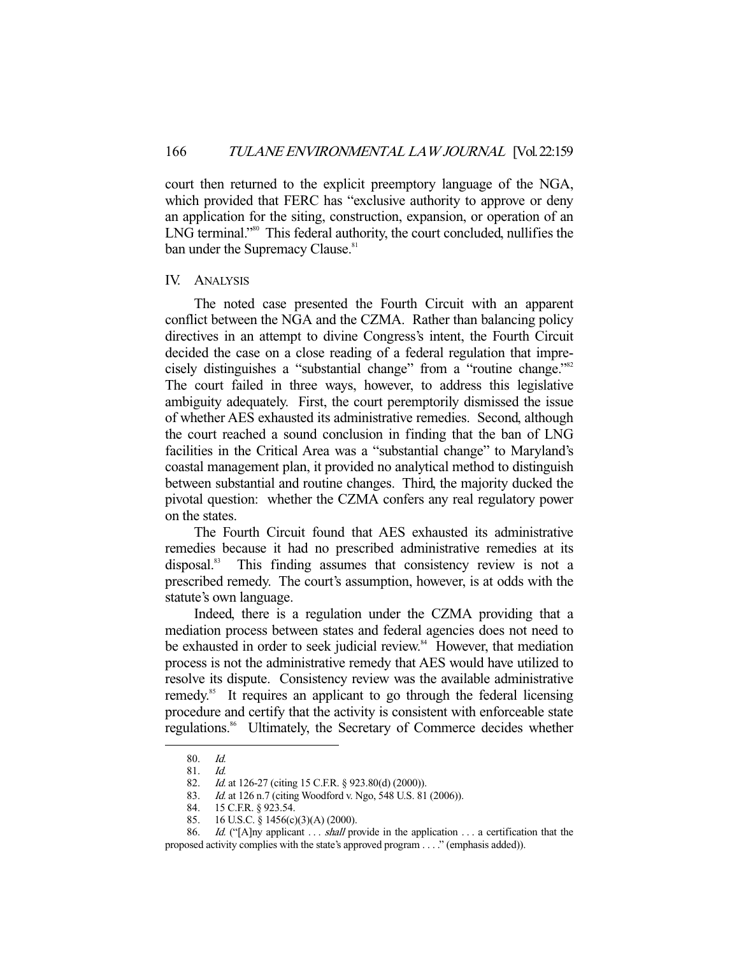court then returned to the explicit preemptory language of the NGA, which provided that FERC has "exclusive authority to approve or deny an application for the siting, construction, expansion, or operation of an LNG terminal."<sup>80</sup> This federal authority, the court concluded, nullifies the ban under the Supremacy Clause.<sup>81</sup>

### IV. ANALYSIS

 The noted case presented the Fourth Circuit with an apparent conflict between the NGA and the CZMA. Rather than balancing policy directives in an attempt to divine Congress's intent, the Fourth Circuit decided the case on a close reading of a federal regulation that imprecisely distinguishes a "substantial change" from a "routine change."<sup>82</sup> The court failed in three ways, however, to address this legislative ambiguity adequately. First, the court peremptorily dismissed the issue of whether AES exhausted its administrative remedies. Second, although the court reached a sound conclusion in finding that the ban of LNG facilities in the Critical Area was a "substantial change" to Maryland's coastal management plan, it provided no analytical method to distinguish between substantial and routine changes. Third, the majority ducked the pivotal question: whether the CZMA confers any real regulatory power on the states.

 The Fourth Circuit found that AES exhausted its administrative remedies because it had no prescribed administrative remedies at its disposal.<sup>83</sup> This finding assumes that consistency review is not a prescribed remedy. The court's assumption, however, is at odds with the statute's own language.

 Indeed, there is a regulation under the CZMA providing that a mediation process between states and federal agencies does not need to be exhausted in order to seek judicial review.<sup>84</sup> However, that mediation process is not the administrative remedy that AES would have utilized to resolve its dispute. Consistency review was the available administrative remedy.<sup>85</sup> It requires an applicant to go through the federal licensing procedure and certify that the activity is consistent with enforceable state regulations.<sup>86</sup> Ultimately, the Secretary of Commerce decides whether

 <sup>80.</sup> Id.

<sup>81.</sup> *Id.*<br>82. *Id.* 

<sup>82.</sup> *Id.* at 126-27 (citing 15 C.F.R. § 923.80(d) (2000)).<br>83. *Id.* at 126 n.7 (citing Woodford v. Ngo, 548 U.S. 81<br>84. 15 C.F.R. § 923.54. Id. at 126 n.7 (citing Woodford v. Ngo, 548 U.S. 81 (2006)).

<sup>84. 15</sup> C.F.R. § 923.54.<br>85. 16 U.S.C. § 1456(c) 16 U.S.C. § 1456(c)(3)(A) (2000).

<sup>86.</sup> Id. ("[A]ny applicant . . . shall provide in the application . . . a certification that the proposed activity complies with the state's approved program . . . ." (emphasis added)).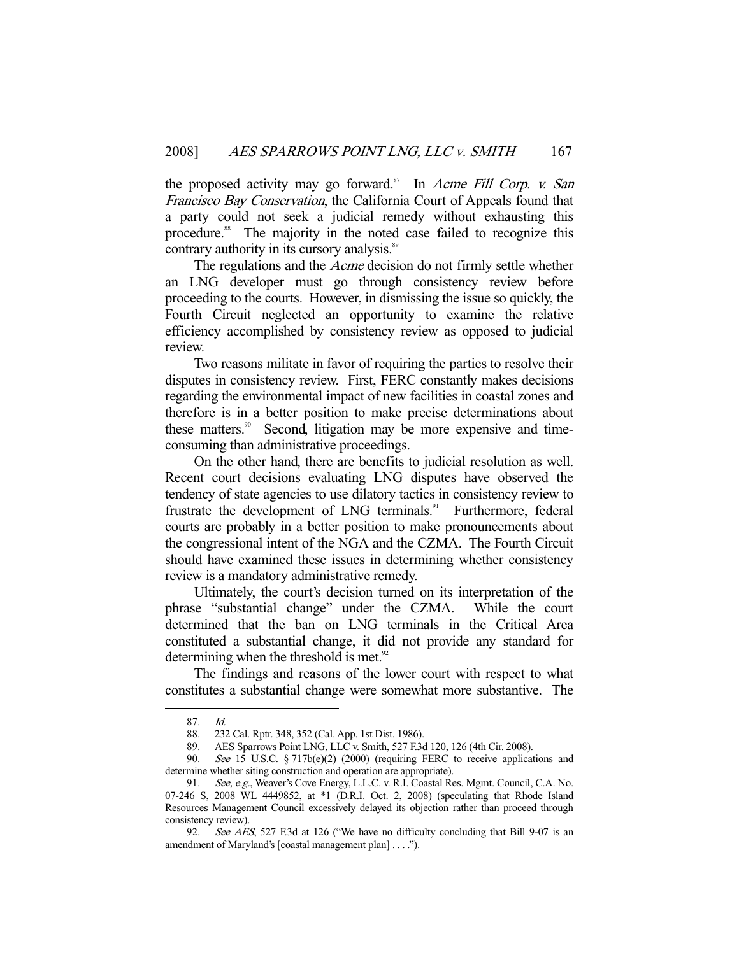the proposed activity may go forward.<sup>87</sup> In Acme Fill Corp. v. San Francisco Bay Conservation, the California Court of Appeals found that a party could not seek a judicial remedy without exhausting this procedure.<sup>88</sup> The majority in the noted case failed to recognize this contrary authority in its cursory analysis.<sup>89</sup>

 The regulations and the Acme decision do not firmly settle whether an LNG developer must go through consistency review before proceeding to the courts. However, in dismissing the issue so quickly, the Fourth Circuit neglected an opportunity to examine the relative efficiency accomplished by consistency review as opposed to judicial review.

 Two reasons militate in favor of requiring the parties to resolve their disputes in consistency review. First, FERC constantly makes decisions regarding the environmental impact of new facilities in coastal zones and therefore is in a better position to make precise determinations about these matters.<sup>90</sup> Second, litigation may be more expensive and timeconsuming than administrative proceedings.

 On the other hand, there are benefits to judicial resolution as well. Recent court decisions evaluating LNG disputes have observed the tendency of state agencies to use dilatory tactics in consistency review to frustrate the development of LNG terminals.<sup>91</sup> Furthermore, federal courts are probably in a better position to make pronouncements about the congressional intent of the NGA and the CZMA. The Fourth Circuit should have examined these issues in determining whether consistency review is a mandatory administrative remedy.

 Ultimately, the court's decision turned on its interpretation of the phrase "substantial change" under the CZMA. While the court determined that the ban on LNG terminals in the Critical Area constituted a substantial change, it did not provide any standard for determining when the threshold is met. $92$ 

 The findings and reasons of the lower court with respect to what constitutes a substantial change were somewhat more substantive. The

 <sup>87.</sup> Id.

 <sup>88. 232</sup> Cal. Rptr. 348, 352 (Cal. App. 1st Dist. 1986).

 <sup>89.</sup> AES Sparrows Point LNG, LLC v. Smith, 527 F.3d 120, 126 (4th Cir. 2008).

 <sup>90.</sup> See 15 U.S.C. § 717b(e)(2) (2000) (requiring FERC to receive applications and determine whether siting construction and operation are appropriate).

<sup>91.</sup> See, e.g., Weaver's Cove Energy, L.L.C. v. R.I. Coastal Res. Mgmt. Council, C.A. No. 07-246 S, 2008 WL 4449852, at \*1 (D.R.I. Oct. 2, 2008) (speculating that Rhode Island Resources Management Council excessively delayed its objection rather than proceed through consistency review).

 <sup>92.</sup> See AES, 527 F.3d at 126 ("We have no difficulty concluding that Bill 9-07 is an amendment of Maryland's [coastal management plan] . . . .").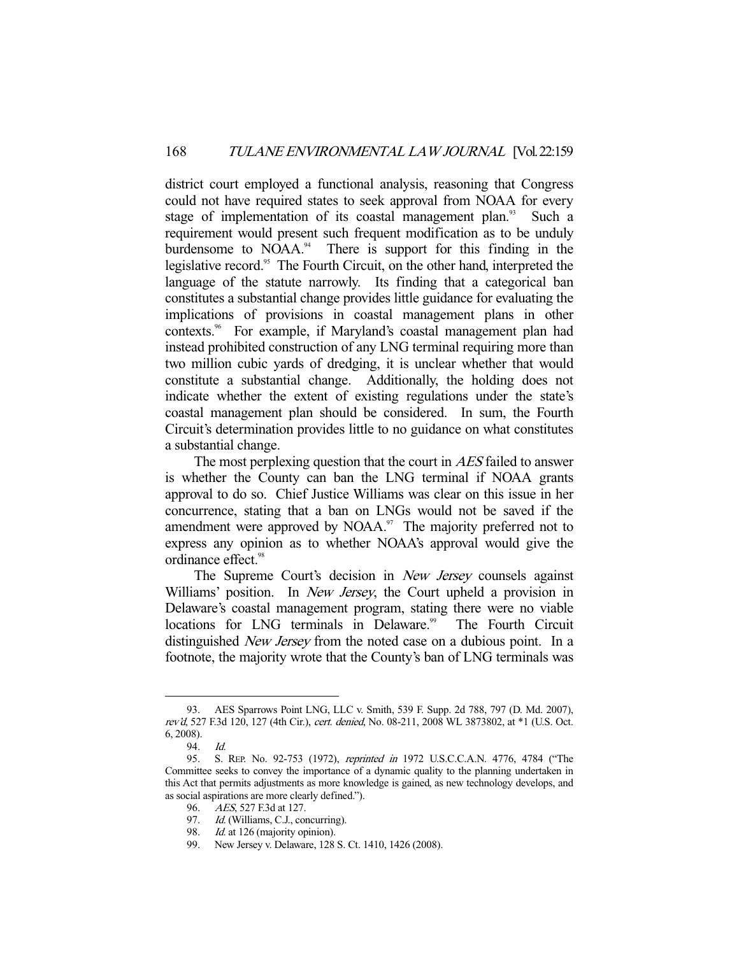district court employed a functional analysis, reasoning that Congress could not have required states to seek approval from NOAA for every stage of implementation of its coastal management plan.<sup>93</sup> Such a requirement would present such frequent modification as to be unduly burdensome to  $NOAA$ <sup>34</sup>. There is support for this finding in the legislative record.<sup>95</sup> The Fourth Circuit, on the other hand, interpreted the language of the statute narrowly. Its finding that a categorical ban constitutes a substantial change provides little guidance for evaluating the implications of provisions in coastal management plans in other contexts.96 For example, if Maryland's coastal management plan had instead prohibited construction of any LNG terminal requiring more than two million cubic yards of dredging, it is unclear whether that would constitute a substantial change. Additionally, the holding does not indicate whether the extent of existing regulations under the state's coastal management plan should be considered. In sum, the Fourth Circuit's determination provides little to no guidance on what constitutes a substantial change.

The most perplexing question that the court in AES failed to answer is whether the County can ban the LNG terminal if NOAA grants approval to do so. Chief Justice Williams was clear on this issue in her concurrence, stating that a ban on LNGs would not be saved if the amendment were approved by NOAA.<sup>97</sup> The majority preferred not to express any opinion as to whether NOAA's approval would give the ordinance effect.<sup>98</sup>

The Supreme Court's decision in *New Jersey* counsels against Williams' position. In *New Jersey*, the Court upheld a provision in Delaware's coastal management program, stating there were no viable locations for LNG terminals in Delaware.<sup>99</sup> The Fourth Circuit distinguished *New Jersey* from the noted case on a dubious point. In a footnote, the majority wrote that the County's ban of LNG terminals was

 <sup>93.</sup> AES Sparrows Point LNG, LLC v. Smith, 539 F. Supp. 2d 788, 797 (D. Md. 2007), rev'd, 527 F.3d 120, 127 (4th Cir.), cert. denied, No. 08-211, 2008 WL 3873802, at \*1 (U.S. Oct. 6, 2008).

 <sup>94.</sup> Id.

<sup>95.</sup> S. REP. No. 92-753 (1972), reprinted in 1972 U.S.C.C.A.N. 4776, 4784 ("The Committee seeks to convey the importance of a dynamic quality to the planning undertaken in this Act that permits adjustments as more knowledge is gained, as new technology develops, and as social aspirations are more clearly defined.").

 <sup>96.</sup> AES, 527 F.3d at 127.

<sup>97.</sup> Id. (Williams, C.J., concurring).

<sup>98.</sup> Id. at 126 (majority opinion).

 <sup>99.</sup> New Jersey v. Delaware, 128 S. Ct. 1410, 1426 (2008).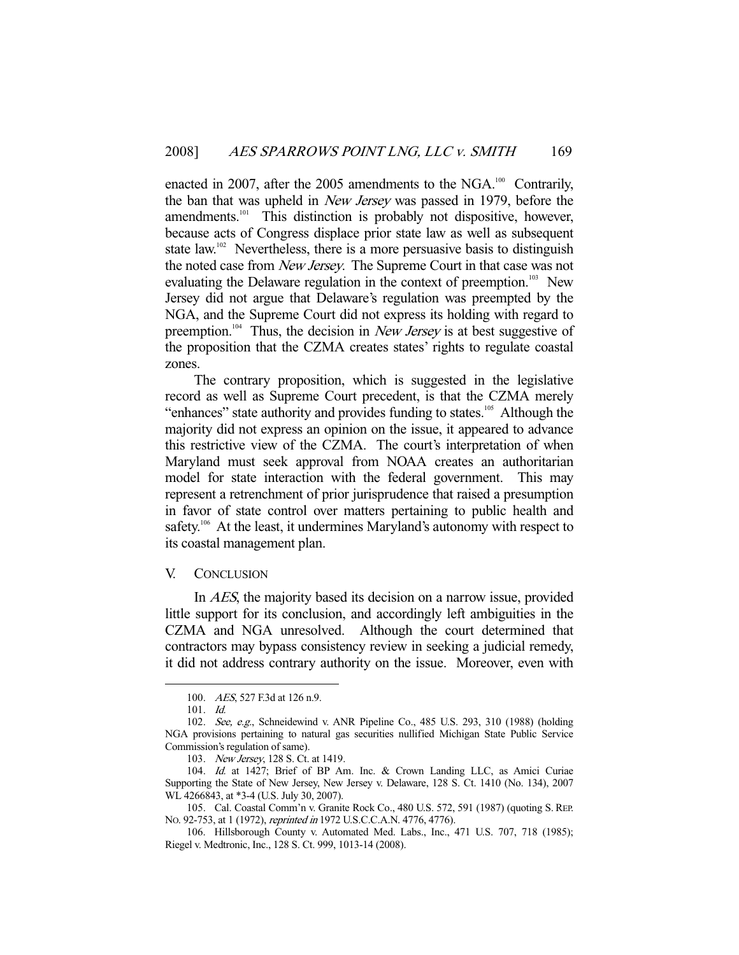enacted in 2007, after the 2005 amendments to the NGA.<sup>100</sup> Contrarily, the ban that was upheld in New Jersey was passed in 1979, before the amendments.<sup>101</sup> This distinction is probably not dispositive, however, because acts of Congress displace prior state law as well as subsequent state law.<sup>102</sup> Nevertheless, there is a more persuasive basis to distinguish the noted case from New Jersey. The Supreme Court in that case was not evaluating the Delaware regulation in the context of preemption.<sup>103</sup> New Jersey did not argue that Delaware's regulation was preempted by the NGA, and the Supreme Court did not express its holding with regard to preemption.<sup>104</sup> Thus, the decision in New Jersey is at best suggestive of the proposition that the CZMA creates states' rights to regulate coastal zones.

 The contrary proposition, which is suggested in the legislative record as well as Supreme Court precedent, is that the CZMA merely "enhances" state authority and provides funding to states.<sup>105</sup> Although the majority did not express an opinion on the issue, it appeared to advance this restrictive view of the CZMA. The court's interpretation of when Maryland must seek approval from NOAA creates an authoritarian model for state interaction with the federal government. This may represent a retrenchment of prior jurisprudence that raised a presumption in favor of state control over matters pertaining to public health and safety.<sup>106</sup> At the least, it undermines Maryland's autonomy with respect to its coastal management plan.

### V. CONCLUSION

 In AES, the majority based its decision on a narrow issue, provided little support for its conclusion, and accordingly left ambiguities in the CZMA and NGA unresolved. Although the court determined that contractors may bypass consistency review in seeking a judicial remedy, it did not address contrary authority on the issue. Moreover, even with

<sup>100.</sup> AES, 527 F.3d at 126 n.9.

 <sup>101.</sup> Id.

 <sup>102.</sup> See, e.g., Schneidewind v. ANR Pipeline Co., 485 U.S. 293, 310 (1988) (holding NGA provisions pertaining to natural gas securities nullified Michigan State Public Service Commission's regulation of same).

<sup>103.</sup> New Jersey, 128 S. Ct. at 1419.

 <sup>104.</sup> Id. at 1427; Brief of BP Am. Inc. & Crown Landing LLC, as Amici Curiae Supporting the State of New Jersey, New Jersey v. Delaware, 128 S. Ct. 1410 (No. 134), 2007 WL 4266843, at \*3-4 (U.S. July 30, 2007).

 <sup>105.</sup> Cal. Coastal Comm'n v. Granite Rock Co., 480 U.S. 572, 591 (1987) (quoting S. REP. NO. 92-753, at 1 (1972), reprinted in 1972 U.S.C.C.A.N. 4776, 4776).

 <sup>106.</sup> Hillsborough County v. Automated Med. Labs., Inc., 471 U.S. 707, 718 (1985); Riegel v. Medtronic, Inc., 128 S. Ct. 999, 1013-14 (2008).